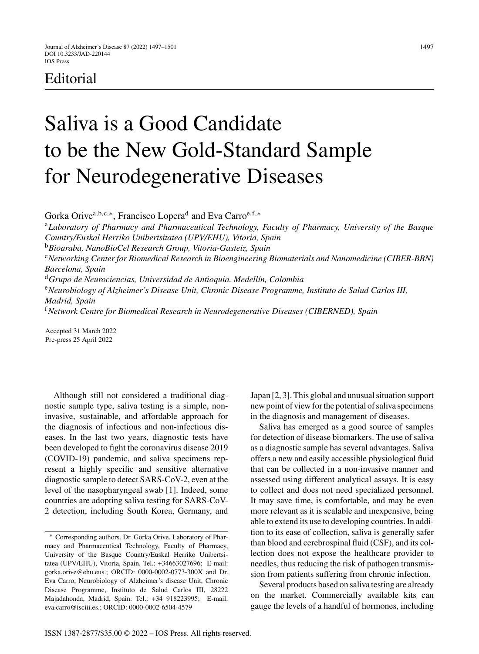## Editorial

## Saliva is a Good Candidate to be the New Gold-Standard Sample for Neurodegenerative Diseases

Gorka Orive<sup>a,b,c,∗</sup>, Francisco Lopera<sup>d</sup> and Eva Carro<sup>e,f,∗</sup> <sup>a</sup>*Laboratory of Pharmacy and Pharmaceutical Technology, Faculty of Pharmacy, University of the Basque Country/Euskal Herriko Unibertsitatea (UPV/EHU), Vitoria, Spain* <sup>b</sup>*Bioaraba, NanoBioCel Research Group, Vitoria-Gasteiz, Spain* <sup>c</sup>*Networking Center for Biomedical Research in Bioengineering Biomaterials and Nanomedicine (CIBER-BBN) Barcelona, Spain* <sup>d</sup>*Grupo de Neurociencias, Universidad de Antioquia. Medell´ın, Colombia* <sup>e</sup>*Neurobiology of Alzheimer's Disease Unit, Chronic Disease Programme, Instituto de Salud Carlos III, Madrid, Spain* <sup>f</sup>*Network Centre for Biomedical Research in Neurodegenerative Diseases (CIBERNED), Spain*

Accepted 31 March 2022 Pre-press 25 April 2022

Although still not considered a traditional diagnostic sample type, saliva testing is a simple, noninvasive, sustainable, and affordable approach for the diagnosis of infectious and non-infectious diseases. In the last two years, diagnostic tests have been developed to fight the coronavirus disease 2019 (COVID-19) pandemic, and saliva specimens represent a highly specific and sensitive alternative diagnostic sample to detect SARS-CoV-2, even at the level of the nasopharyngeal swab [1]. Indeed, some countries are adopting saliva testing for SARS-CoV-2 detection, including South Korea, Germany, and

Japan [2, 3]. This global and unusual situation support new point of view for the potential of saliva specimens in the diagnosis and management of diseases.

Saliva has emerged as a good source of samples for detection of disease biomarkers. The use of saliva as a diagnostic sample has several advantages. Saliva offers a new and easily accessible physiological fluid that can be collected in a non-invasive manner and assessed using different analytical assays. It is easy to collect and does not need specialized personnel. It may save time, is comfortable, and may be even more relevant as it is scalable and inexpensive, being able to extend its use to developing countries. In addition to its ease of collection, saliva is generally safer than blood and cerebrospinal fluid (CSF), and its collection does not expose the healthcare provider to needles, thus reducing the risk of pathogen transmission from patients suffering from chronic infection.

Several products based on saliva testing are already on the market. Commercially available kits can gauge the levels of a handful of hormones, including

<sup>∗</sup> Corresponding authors. Dr. Gorka Orive, Laboratory of Pharmacy and Pharmaceutical Technology, Faculty of Pharmacy, University of the Basque Country/Euskal Herriko Unibertsitatea (UPV/EHU), Vitoria, Spain. Tel.: +34663027696; E-mail: [gorka.orive@ehu.eus.](mailto:gorka.orive@ehu.eus); ORCID: 0000-0002-0773-300X and Dr. Eva Carro, Neurobiology of Alzheimer's disease Unit, Chronic Disease Programme, Instituto de Salud Carlos III, 28222 Majadahonda, Madrid, Spain. Tel.: +34 918223995; E-mail: [eva.carro@isciii.es](mailto:eva.carro@isciii.es).; ORCID: 0000-0002-6504-4579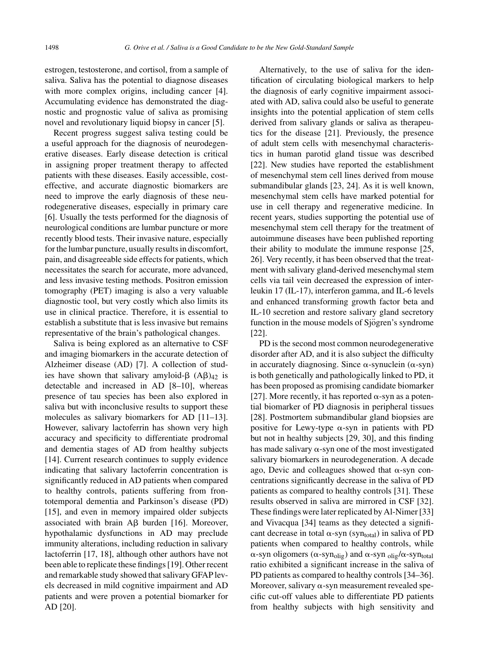estrogen, testosterone, and cortisol, from a sample of saliva. Saliva has the potential to diagnose diseases with more complex origins, including cancer [4]. Accumulating evidence has demonstrated the diagnostic and prognostic value of saliva as promising novel and revolutionary liquid biopsy in cancer [5].

Recent progress suggest saliva testing could be a useful approach for the diagnosis of neurodegenerative diseases. Early disease detection is critical in assigning proper treatment therapy to affected patients with these diseases. Easily accessible, costeffective, and accurate diagnostic biomarkers are need to improve the early diagnosis of these neurodegenerative diseases, especially in primary care [6]. Usually the tests performed for the diagnosis of neurological conditions are lumbar puncture or more recently blood tests. Their invasive nature, especially for the lumbar puncture, usually results in discomfort, pain, and disagreeable side effects for patients, which necessitates the search for accurate, more advanced, and less invasive testing methods. Positron emission tomography (PET) imaging is also a very valuable diagnostic tool, but very costly which also limits its use in clinical practice. Therefore, it is essential to establish a substitute that is less invasive but remains representative of the brain's pathological changes.

Saliva is being explored as an alternative to CSF and imaging biomarkers in the accurate detection of Alzheimer disease (AD) [7]. A collection of studies have shown that salivary amyloid- $\beta$  (A $\beta$ )<sub>42</sub> is detectable and increased in AD [8–10], whereas presence of tau species has been also explored in saliva but with inconclusive results to support these molecules as salivary biomarkers for AD [11–13]. However, salivary lactoferrin has shown very high accuracy and specificity to differentiate prodromal and dementia stages of AD from healthy subjects [14]. Current research continues to supply evidence indicating that salivary lactoferrin concentration is significantly reduced in AD patients when compared to healthy controls, patients suffering from frontotemporal dementia and Parkinson's disease (PD) [15], and even in memory impaired older subjects associated with brain  $\mathsf{A}\mathsf{B}$  burden [16]. Moreover, hypothalamic dysfunctions in AD may preclude immunity alterations, including reduction in salivary lactoferrin [17, 18], although other authors have not been able to replicate these findings [19]. Other recent and remarkable study showed that salivary GFAP levels decreased in mild cognitive impairment and AD patients and were proven a potential biomarker for AD [20].

Alternatively, to the use of saliva for the identification of circulating biological markers to help the diagnosis of early cognitive impairment associated with AD, saliva could also be useful to generate insights into the potential application of stem cells derived from salivary glands or saliva as therapeutics for the disease [21]. Previously, the presence of adult stem cells with mesenchymal characteristics in human parotid gland tissue was described [22]. New studies have reported the establishment of mesenchymal stem cell lines derived from mouse submandibular glands [23, 24]. As it is well known, mesenchymal stem cells have marked potential for use in cell therapy and regenerative medicine. In recent years, studies supporting the potential use of mesenchymal stem cell therapy for the treatment of autoimmune diseases have been published reporting their ability to modulate the immune response [25, 26]. Very recently, it has been observed that the treatment with salivary gland-derived mesenchymal stem cells via tail vein decreased the expression of interleukin 17 (IL-17), interferon gamma, and IL-6 levels and enhanced transforming growth factor beta and IL-10 secretion and restore salivary gland secretory function in the mouse models of Sjögren's syndrome [22].

PD is the second most common neurodegenerative disorder after AD, and it is also subject the difficulty in accurately diagnosing. Since  $\alpha$ -synuclein ( $\alpha$ -syn) is both genetically and pathologically linked to PD, it has been proposed as promising candidate biomarker [27]. More recently, it has reported  $\alpha$ -syn as a potential biomarker of PD diagnosis in peripheral tissues [28]. Postmortem submandibular gland biopsies are positive for Lewy-type  $\alpha$ -syn in patients with PD but not in healthy subjects [29, 30], and this finding has made salivary  $\alpha$ -syn one of the most investigated salivary biomarkers in neurodegeneration. A decade ago, Devic and colleagues showed that  $\alpha$ -syn concentrations significantly decrease in the saliva of PD patients as compared to healthy controls [31]. These results observed in saliva are mirrored in CSF [32]. These findings were later replicated by Al-Nimer [33] and Vivacqua [34] teams as they detected a significant decrease in total  $\alpha$ -syn (syn<sub>total</sub>) in saliva of PD patients when compared to healthy controls, while  $\alpha$ -syn oligomers ( $\alpha$ -syn<sub>olig</sub>) and  $\alpha$ -syn<sub>olig</sub>/ $\alpha$ -syn<sub>total</sub> ratio exhibited a significant increase in the saliva of PD patients as compared to healthy controls [34–36]. Moreover, salivary  $\alpha$ -syn measurement revealed specific cut-off values able to differentiate PD patients from healthy subjects with high sensitivity and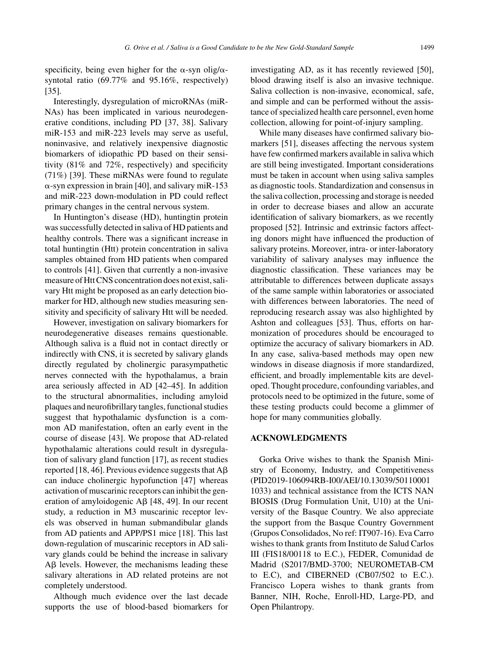specificity, being even higher for the  $\alpha$ -syn olig/ $\alpha$ syntotal ratio (69.77% and 95.16%, respectively) [35].

Interestingly, dysregulation of microRNAs (miR-NAs) has been implicated in various neurodegenerative conditions, including PD [37, 38]. Salivary miR-153 and miR-223 levels may serve as useful, noninvasive, and relatively inexpensive diagnostic biomarkers of idiopathic PD based on their sensitivity (81% and 72%, respectively) and specificity (71%) [39]. These miRNAs were found to regulate  $\alpha$ -syn expression in brain [40], and salivary miR-153 and miR-223 down-modulation in PD could reflect primary changes in the central nervous system.

In Huntington's disease (HD), huntingtin protein was successfully detected in saliva of HD patients and healthy controls. There was a significant increase in total huntingtin (Htt) protein concentration in saliva samples obtained from HD patients when compared to controls [41]. Given that currently a non-invasive measure of Htt CNS concentration does not exist, salivary Htt might be proposed as an early detection biomarker for HD, although new studies measuring sensitivity and specificity of salivary Htt will be needed.

However, investigation on salivary biomarkers for neurodegenerative diseases remains questionable. Although saliva is a fluid not in contact directly or indirectly with CNS, it is secreted by salivary glands directly regulated by cholinergic parasympathetic nerves connected with the hypothalamus, a brain area seriously affected in AD [42–45]. In addition to the structural abnormalities, including amyloid plaques and neurofibrillary tangles, functional studies suggest that hypothalamic dysfunction is a common AD manifestation, often an early event in the course of disease [43]. We propose that AD-related hypothalamic alterations could result in dysregulation of salivary gland function [17], as recent studies reported [18, 46]. Previous evidence suggests that  $A\beta$ can induce cholinergic hypofunction [47] whereas activation of muscarinic receptors can inhibit the generation of amyloidogenic  $\text{A}\beta$  [48, 49]. In our recent study, a reduction in M3 muscarinic receptor levels was observed in human submandibular glands from AD patients and APP/PS1 mice [18]. This last down-regulation of muscarinic receptors in AD salivary glands could be behind the increase in salivary  $\text{A}\beta$  levels. However, the mechanisms leading these salivary alterations in AD related proteins are not completely understood.

Although much evidence over the last decade supports the use of blood-based biomarkers for investigating AD, as it has recently reviewed [50], blood drawing itself is also an invasive technique. Saliva collection is non-invasive, economical, safe, and simple and can be performed without the assistance of specialized health care personnel, even home collection, allowing for point-of-injury sampling.

While many diseases have confirmed salivary biomarkers [51], diseases affecting the nervous system have few confirmed markers available in saliva which are still being investigated. Important considerations must be taken in account when using saliva samples as diagnostic tools. Standardization and consensus in the saliva collection, processing and storage is needed in order to decrease biases and allow an accurate identification of salivary biomarkers, as we recently proposed [52]. Intrinsic and extrinsic factors affecting donors might have influenced the production of salivary proteins. Moreover, intra- or inter-laboratory variability of salivary analyses may influence the diagnostic classification. These variances may be attributable to differences between duplicate assays of the same sample within laboratories or associated with differences between laboratories. The need of reproducing research assay was also highlighted by Ashton and colleagues [53]. Thus, efforts on harmonization of procedures should be encouraged to optimize the accuracy of salivary biomarkers in AD. In any case, saliva-based methods may open new windows in disease diagnosis if more standardized, efficient, and broadly implementable kits are developed. Thought procedure, confounding variables, and protocols need to be optimized in the future, some of these testing products could become a glimmer of hope for many communities globally.

## **ACKNOWLEDGMENTS**

Gorka Orive wishes to thank the Spanish Ministry of Economy, Industry, and Competitiveness (PID2019-106094RB-I00/AEI/10.13039/50110001 1033) and technical assistance from the ICTS NAN BIOSIS (Drug Formulation Unit, U10) at the University of the Basque Country. We also appreciate the support from the Basque Country Government (Grupos Consolidados, No ref: IT907-16). Eva Carro wishes to thank grants from Instituto de Salud Carlos III (FIS18/00118 to E.C.), FEDER, Comunidad de Madrid (S2017/BMD-3700; NEUROMETAB-CM to E.C), and CIBERNED (CB07/502 to E.C.). Francisco Lopera wishes to thank grants from Banner, NIH, Roche, Enroll-HD, Large-PD, and Open Philantropy.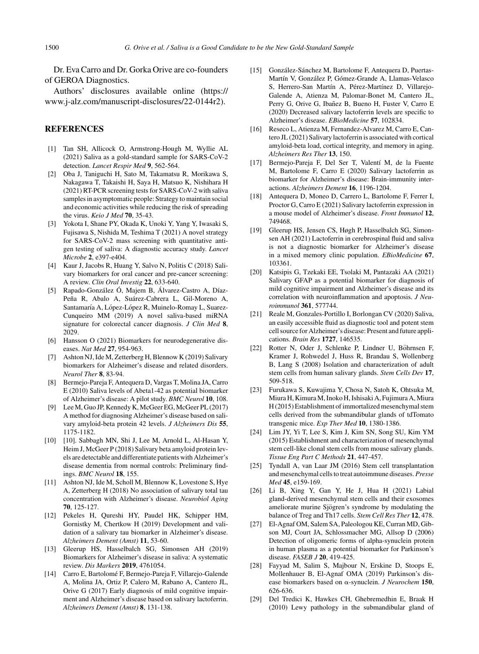Dr. Eva Carro and Dr. Gorka Orive are co-founders of GEROA Diagnostics.

Authors' disclosures available online ([https://](https://www.j-alz.com/manuscript-disclosures/22-0144r2) [www.j-alz.com/manuscript-disclosures/22-0144r2\)](https://www.j-alz.com/manuscript-disclosures/22-0144r2).

## **REFERENCES**

- [1] Tan SH, Allicock O, Armstrong-Hough M, Wyllie AL (2021) Saliva as a gold-standard sample for SARS-CoV-2 detection. *Lancet Respir Med* **9**, 562-564.
- [2] Oba J, Taniguchi H, Sato M, Takamatsu R, Morikawa S, Nakagawa T, Takaishi H, Saya H, Matsuo K, Nishihara H (2021) RT-PCR screening tests for SARS-CoV-2 with saliva samples in asymptomatic people: Strategy to maintain social and economic activities while reducing the risk of spreading the virus. *Keio J Med* **70**, 35-43.
- [3] Yokota I, Shane PY, Okada K, Unoki Y, Yang Y, Iwasaki S, Fujisawa S, Nishida M, Teshima T (2021) A novel strategy for SARS-CoV-2 mass screening with quantitative antigen testing of saliva: A diagnostic accuracy study. *Lancet Microbe* **2**, e397-e404.
- [4] Kaur J, Jacobs R, Huang Y, Salvo N, Politis C (2018) Salivary biomarkers for oral cancer and pre-cancer screening: A review. *Clin Oral Investig* **22**, 633-640.
- [5] Rapado-González Ó, Majem B, Álvarez-Castro A, Díaz-Peña R, Abalo A, Suárez-Cabrera L, Gil-Moreno A, Santamaría A, López-López R, Muinelo-Romay L, Suarez-Cunqueiro MM (2019) A novel saliva-based miRNA signature for colorectal cancer diagnosis. *J Clin Med* **8**, 2029.
- [6] Hansson O (2021) Biomarkers for neurodegenerative diseases. *Nat Med* **27**, 954-963.
- [7] Ashton NJ, Ide M, Zetterberg H, Blennow K (2019) Salivary biomarkers for Alzheimer's disease and related disorders. *Neurol Ther* **8**, 83-94.
- [8] Bermejo-Pareja F, Antequera D, Vargas T, Molina JA, Carro E (2010) Saliva levels of Abeta1-42 as potential biomarker of Alzheimer's disease: A pilot study. *BMC Neurol* **10**, 108.
- [9] Lee M, Guo JP, Kennedy K, McGeer EG, McGeer PL (2017) A method for diagnosing Alzheimer's disease based on salivary amyloid-beta protein 42 levels. *J Alzheimers Dis* **55**, 1175-1182.
- [10] [10]. Sabbagh MN, Shi J, Lee M, Arnold L, Al-Hasan Y, Heim J, McGeer P (2018) Salivary beta amyloid protein levels are detectable and differentiate patients with Alzheimer's disease dementia from normal controls: Preliminary findings. *BMC Neurol* **18**, 155.
- [11] Ashton NJ, Ide M, Scholl M, Blennow K, Lovestone S, Hye A, Zetterberg H (2018) No association of salivary total tau concentration with Alzheimer's disease. *Neurobiol Aging* **70**, 125-127.
- [12] Pekeles H, Qureshi HY, Paudel HK, Schipper HM, Gornistky M, Chertkow H (2019) Development and validation of a salivary tau biomarker in Alzheimer's disease. *Alzheimers Dement (Amst)* **11**, 53-60.
- [13] Gleerup HS, Hasselbalch SG, Simonsen AH (2019) Biomarkers for Alzheimer's disease in saliva: A systematic review. *Dis Markers* **2019**, 4761054.
- [14] Carro E, Bartolomé F, Bermejo-Pareja F, Villarejo-Galende A, Molina JA, Ortiz P, Calero M, Rabano A, Cantero JL, Orive G (2017) Early diagnosis of mild cognitive impairment and Alzheimer's disease based on salivary lactoferrin. *Alzheimers Dement (Amst)* **8**, 131-138.
- [15] González-Sánchez M, Bartolome F, Antequera D, Puertas-Martín V, González P, Gómez-Grande A, Llamas-Velasco S, Herrero-San Martín A, Pérez-Martínez D, Villarejo-Galende A, Atienza M, Palomar-Bonet M, Cantero JL, Perry G, Orive G, Ibañez B, Bueno H, Fuster V, Carro E (2020) Decreased salivary lactoferrin levels are specific to Alzheimer's disease. *EBioMedicine* **57**, 102834.
- [16] Reseco L, Atienza M, Fernandez-Alvarez M, Carro E, Cantero JL (2021) Salivary lactoferrin is associated with cortical amyloid-beta load, cortical integrity, and memory in aging. *Alzheimers Res Ther* **13**, 150.
- [17] Bermejo-Pareja F, Del Ser T, Valentí M, de la Fuente M, Bartolome F, Carro E (2020) Salivary lactoferrin as biomarker for Alzheimer's disease: Brain-immunity interactions. *Alzheimers Dement* **16**, 1196-1204.
- [18] Antequera D, Moneo D, Carrero L, Bartolome F, Ferrer I, Proctor G, Carro E (2021) Salivary lactoferrin expression in a mouse model of Alzheimer's disease. *Front Immunol* **12**, 749468.
- [19] Gleerup HS, Jensen CS, Høgh P, Hasselbalch SG, Simonsen AH (2021) Lactoferrin in cerebrospinal fluid and saliva is not a diagnostic biomarker for Alzheimer's disease in a mixed memory clinic population. *EBioMedicine* **67**, 103361.
- [20] Katsipis G, Tzekaki EE, Tsolaki M, Pantazaki AA (2021) Salivary GFAP as a potential biomarker for diagnosis of mild cognitive impairment and Alzheimer's disease and its correlation with neuroinflammation and apoptosis. *J Neuroimmunol* **361**, 577744.
- [21] Reale M, Gonzales-Portillo I, Borlongan CV (2020) Saliva, an easily accessible fluid as diagnostic tool and potent stem cell source for Alzheimer's disease: Present and future applications. *Brain Res* **1727**, 146535.
- [22] Rotter N, Oder J, Schlenke P, Lindner U, Böhrnsen F, Kramer J, Rohwedel J, Huss R, Brandau S, Wollenberg B, Lang S (2008) Isolation and characterization of adult stem cells from human salivary glands. *Stem Cells Dev* **17**, 509-518.
- [23] Furukawa S, Kuwajima Y, Chosa N, Satoh K, Ohtsuka M, Miura H, Kimura M, Inoko H, Ishisaki A, Fujimura A, Miura H (2015) Establishment of immortalized mesenchymal stem cells derived from the submandibular glands of tdTomato transgenic mice. *Exp Ther Med* **10**, 1380-1386.
- [24] Lim JY, Yi T, Lee S, Kim J, Kim SN, Song SU, Kim YM (2015) Establishment and characterization of mesenchymal stem cell-like clonal stem cells from mouse salivary glands. *Tissue Eng Part C Methods* **21**, 447-457.
- [25] Tyndall A, van Laar JM (2016) Stem cell transplantation and mesenchymal cells to treat autoimmune diseases.*Presse Med* **45**, e159-169.
- [26] Li B, Xing Y, Gan Y, He J, Hua H (2021) Labial gland-derived mesenchymal stem cells and their exosomes ameliorate murine Sjögren's syndrome by modulating the balance of Treg and Th17 cells. *Stem Cell Res Ther* **12**, 478.
- [27] El-Agnaf OM, Salem SA, Paleologou KE, Curran MD, Gibson MJ, Court JA, Schlossmacher MG, Allsop D (2006) Detection of oligomeric forms of alpha-synuclein protein in human plasma as a potential biomarker for Parkinson's disease. *FASEB J* **20**, 419-425.
- [28] Fayyad M, Salim S, Majbour N, Erskine D, Stoops E, Mollenhauer B, El-Agnaf OMA (2019) Parkinson's disease biomarkers based on  $\alpha$ -synuclein. *J Neurochem* 150, 626-636.
- [29] Del Tredici K, Hawkes CH, Ghebremedhin E, Braak H (2010) Lewy pathology in the submandibular gland of